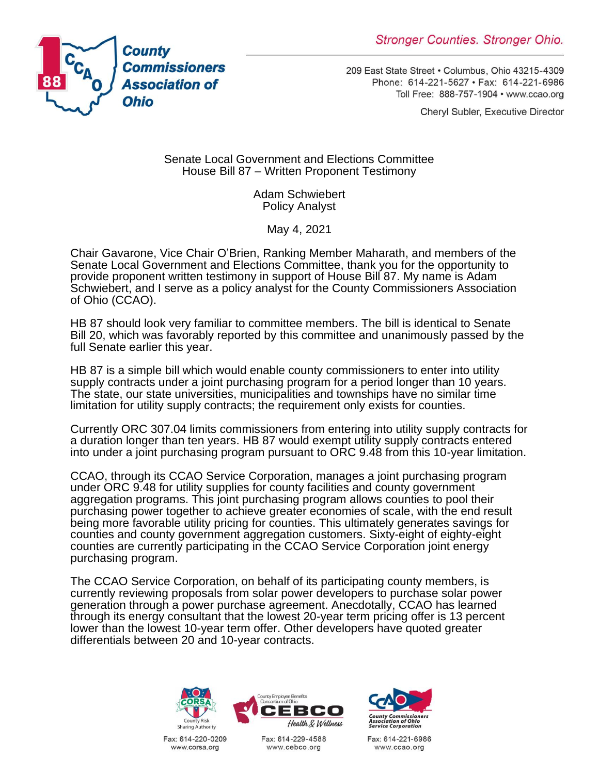

209 East State Street . Columbus, Ohio 43215-4309 Phone: 614-221-5627 · Fax: 614-221-6986 Toll Free: 888-757-1904 · www.ccao.org

Cheryl Subler, Executive Director

Senate Local Government and Elections Committee House Bill 87 – Written Proponent Testimony

> Adam Schwiebert Policy Analyst

> > May 4, 2021

Chair Gavarone, Vice Chair O'Brien, Ranking Member Maharath, and members of the Senate Local Government and Elections Committee, thank you for the opportunity to provide proponent written testimony in support of House Bill 87. My name is Adam Schwiebert, and I serve as a policy analyst for the County Commissioners Association of Ohio (CCAO).

HB 87 should look very familiar to committee members. The bill is identical to Senate Bill 20, which was favorably reported by this committee and unanimously passed by the full Senate earlier this year.

HB 87 is a simple bill which would enable county commissioners to enter into utility supply contracts under a joint purchasing program for a period longer than 10 years. The state, our state universities, municipalities and townships have no similar time limitation for utility supply contracts; the requirement only exists for counties.

Currently ORC 307.04 limits commissioners from entering into utility supply contracts for a duration longer than ten years. HB 87 would exempt utility supply contracts entered into under a joint purchasing program pursuant to ORC 9.48 from this 10-year limitation.

CCAO, through its CCAO Service Corporation, manages a joint purchasing program under ORC 9.48 for utility supplies for county facilities and county government aggregation programs. This joint purchasing program allows counties to pool their purchasing power together to achieve greater economies of scale, with the end result being more favorable utility pricing for counties. This ultimately generates savings for counties and county government aggregation customers. Sixty-eight of eighty-eight counties are currently participating in the CCAO Service Corporation joint energy purchasing program.

The CCAO Service Corporation, on behalf of its participating county members, is currently reviewing proposals from solar power developers to purchase solar power generation through a power purchase agreement. Anecdotally, CCAO has learned through its energy consultant that the lowest 20-year term pricing offer is 13 percent lower than the lowest 10-year term offer. Other developers have quoted greater differentials between 20 and 10-year contracts.



Fax: 614-220-0209 www.corsa.org



Fax: 614-229-4588 www.cebco.org



Fax: 614-221-6986 www.ccao.org